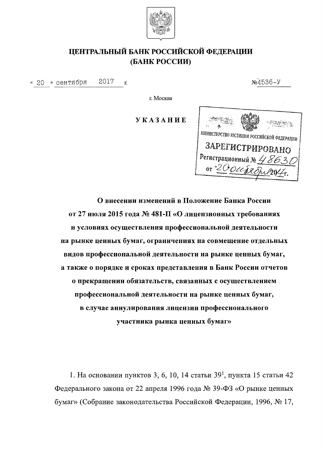

## ЦЕНТРАЛЬНЫЙ БАНК РОССИЙСКОЙ ФЕДЕРАЦИИ (БАНК РОССИИ)

2017 « 20 » сентября  $\overline{\mathbf{L}}$   $N<sub>2</sub>4536 - Y$ 

г. Москва

*YKA3AHHE* 



О внесении изменений в Положение Банка России от 27 июля 2015 года № 481-П «О лицензионных требованиях и условиях осуществления профессиональной деятельности на рынке ценных бумаг, ограничениях на совмещение отдельных видов профессиональной деятельности на рынке ценных бумаг, а также о порядке и сроках представления в Банк России отчетов о прекращении обязательств, связанных с осуществлением профессиональной деятельности на рынке ценных бумаг, в случае аннулирования лицензии профессионального участника рынка ценных бумаг»

1. На основании пунктов 3, 6, 10, 14 статьи  $39<sup>1</sup>$ , пункта 15 статьи 42 Федерального закона от 22 апреля 1996 года № 39-ФЗ «О рынке ценных бумаг» (Собрание законодательства Российской Федерации, 1996, № 17,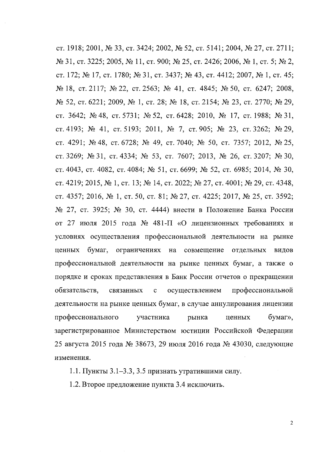ст. 1918; 2001, № 33, ст. 3424; 2002, № 52, ст. 5141; 2004, № 27, ст. 2711; № 31, ст. 3225; 2005, № 11, ст. 900; № 25, ст. 2426; 2006, № 1, ст. 5; № 2, ст. 172; № 17, ст. 1780; № 31, ст. 3437; № 43, ст. 4412; 2007, № 1, ст. 45; № 18, ст. 2117; № 22, ст. 2563; № 41, ст. 4845; № 50, ст. 6247; 2008, № 52, ст. 6221; 2009, № 1, ст. 28; № 18, ст. 2154; № 23, ст. 2770; № 29, ст. 3642; № 48, ст. 5731; № 52, ст. 6428; 2010, № 17, ст. 1988; № 31, ст. 4193; № 41, ст. 5193; 2011, № 7, ст. 905; № 23, ст. 3262; № 29, ст. 4291; № 48, ст. 6728; № 49, ст. 7040; № 50, ст. 7357; 2012, № 25, ст. 3269; № 31, ст. 4334; № 53, ст. 7607; 2013, № 26, ст. 3207; № 30, ст. 4043, ст. 4082, ст. 4084; № 51, ст. 6699; № 52, ст. 6985; 2014, № 30, ст. 4219; 2015, № 1, ст. 13; № 14, ст. 2022; № 27, ст. 4001; № 29, ст. 4348, ст. 4357; 2016, № 1, ст. 50, ст. 81; № 27, ст. 4225; 2017, № 25, ст. 3592; № 27, ст. 3925; № 30, ст. 4444) внести в Положение Банка России от 27 июля 2015 года № 481-П «О лицензионных требованиях и условиях осуществления профессиональной деятельности на рынке ценных бумаг, ограничениях на совмещение отдельных видов профессиональной деятельности на рынке ценных бумаг, а также о порядке и сроках представления в Банк России отчетов о прекращении обязательств, профессиональной связанных  $\mathbf{c}$ осуществлением деятельности на рынке ценных бумаг, в случае аннулирования лицензии профессионального участника рынка бумаг», ценных зарегистрированное Министерством юстиции Российской Федерации 25 августа 2015 года № 38673, 29 июля 2016 года № 43030, следующие изменения.

1.1. Пункты 3.1–3.3, 3.5 признать утратившими силу.

1.2. Второе предложение пункта 3.4 исключить.

 $\overline{2}$